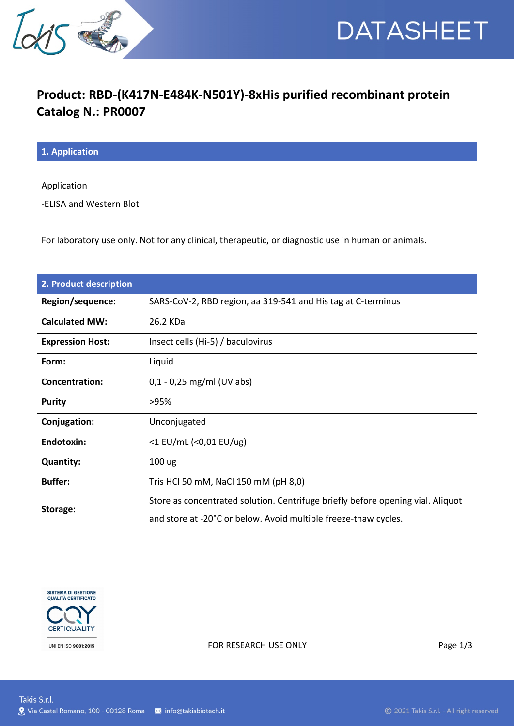



## **Product: RBD-(K417N-E484K-N501Y)-8xHis purified recombinant protein Catalog N.: PR0007**

**1. Application**

Application

-ELISA and Western Blot

For laboratory use only. Not for any clinical, therapeutic, or diagnostic use in human or animals.

| 2. Product description  |                                                                                 |
|-------------------------|---------------------------------------------------------------------------------|
| Region/sequence:        | SARS-CoV-2, RBD region, aa 319-541 and His tag at C-terminus                    |
| <b>Calculated MW:</b>   | 26.2 KDa                                                                        |
| <b>Expression Host:</b> | Insect cells (Hi-5) / baculovirus                                               |
| Form:                   | Liquid                                                                          |
| Concentration:          | $0,1 - 0,25$ mg/ml (UV abs)                                                     |
| <b>Purity</b>           | >95%                                                                            |
| Conjugation:            | Unconjugated                                                                    |
| <b>Endotoxin:</b>       | <1 EU/mL (<0,01 EU/ug)                                                          |
| <b>Quantity:</b>        | 100 ug                                                                          |
| <b>Buffer:</b>          | Tris HCl 50 mM, NaCl 150 mM (pH 8,0)                                            |
| Storage:                | Store as concentrated solution. Centrifuge briefly before opening vial. Aliquot |
|                         | and store at -20°C or below. Avoid multiple freeze-thaw cycles.                 |



FOR RESEARCH USE ONLY Page 1/3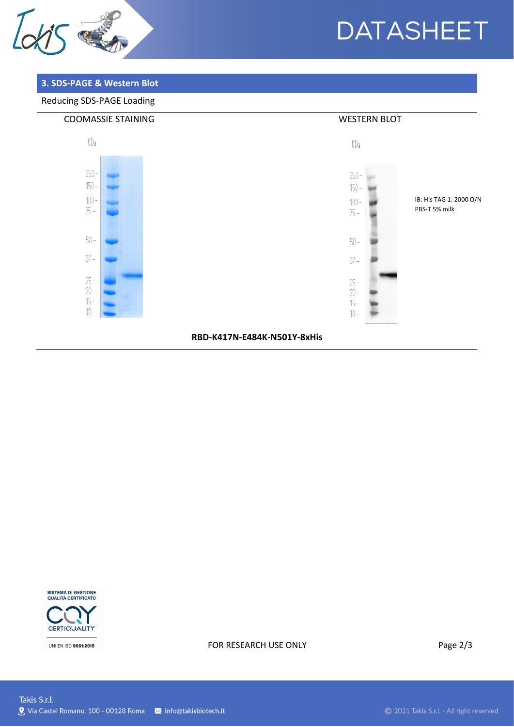

# **DATASHEET**

### 3. SDS-PAGE & Western Blot

### Reducing SDS-PAGE Loading



RBD-K417N-E484K-N501Y-8xHis



UNI EN ISO 9001:2015

#### FOR RESEARCH USE ONLY

Page 2/3